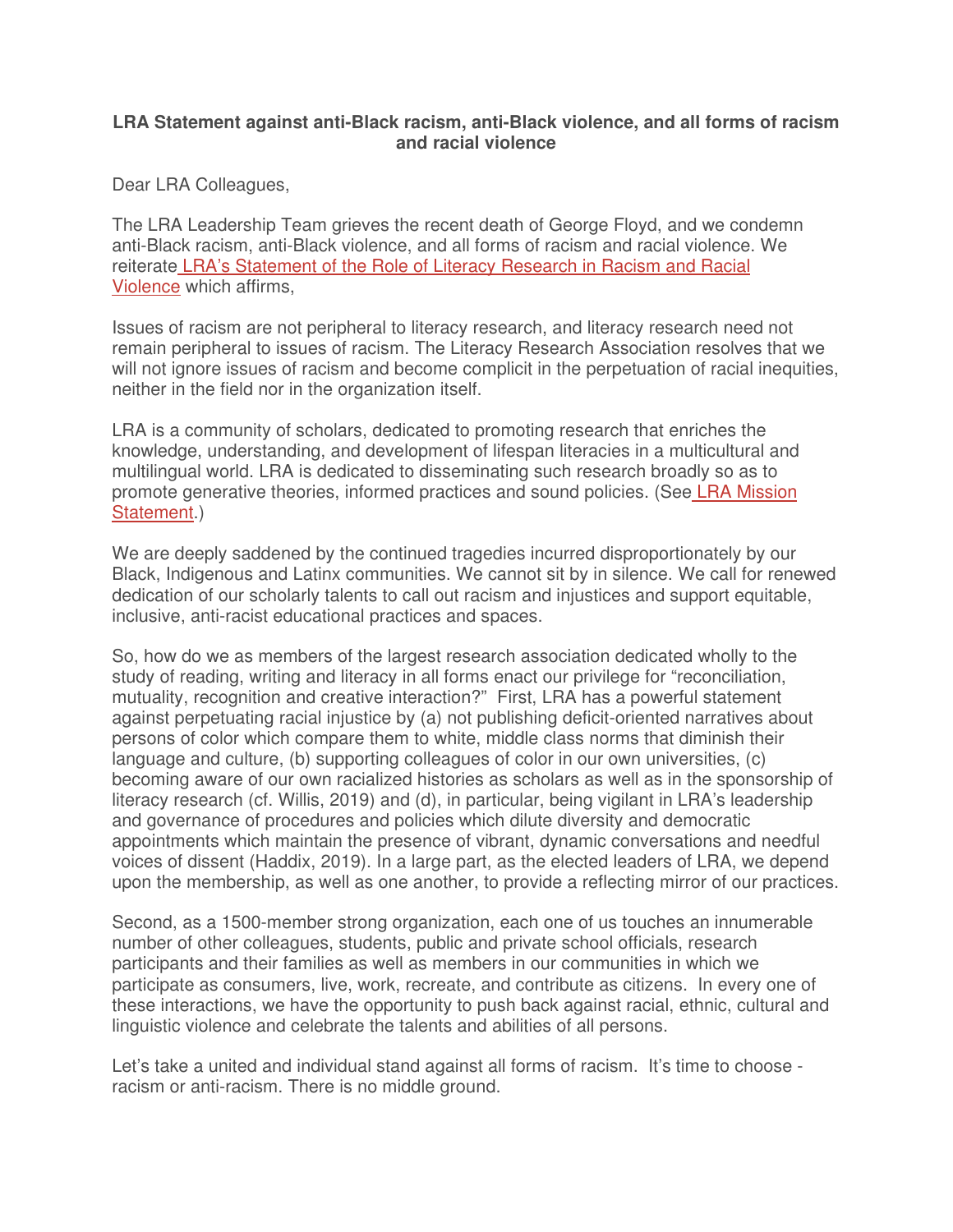## **LRA Statement against anti-Black racism, anti-Black violence, and all forms of racism and racial violence**

Dear LRA Colleagues,

The LRA Leadership Team grieves the recent death of George Floyd, and we condemn anti-Black racism, anti-Black violence, and all forms of racism and racial violence. We reiterate LRA's Statement of the Role of Literacy Research in Racism and Racial Violence which affirms,

Issues of racism are not peripheral to literacy research, and literacy research need not remain peripheral to issues of racism. The Literacy Research Association resolves that we will not ignore issues of racism and become complicit in the perpetuation of racial inequities, neither in the field nor in the organization itself.

LRA is a community of scholars, dedicated to promoting research that enriches the knowledge, understanding, and development of lifespan literacies in a multicultural and multilingual world. LRA is dedicated to disseminating such research broadly so as to promote generative theories, informed practices and sound policies. (See LRA Mission Statement.)

We are deeply saddened by the continued tragedies incurred disproportionately by our Black, Indigenous and Latinx communities. We cannot sit by in silence. We call for renewed dedication of our scholarly talents to call out racism and injustices and support equitable, inclusive, anti-racist educational practices and spaces.

So, how do we as members of the largest research association dedicated wholly to the study of reading, writing and literacy in all forms enact our privilege for "reconciliation, mutuality, recognition and creative interaction?" First, LRA has a powerful statement against perpetuating racial injustice by (a) not publishing deficit-oriented narratives about persons of color which compare them to white, middle class norms that diminish their language and culture, (b) supporting colleagues of color in our own universities, (c) becoming aware of our own racialized histories as scholars as well as in the sponsorship of literacy research (cf. Willis, 2019) and (d), in particular, being vigilant in LRA's leadership and governance of procedures and policies which dilute diversity and democratic appointments which maintain the presence of vibrant, dynamic conversations and needful voices of dissent (Haddix, 2019). In a large part, as the elected leaders of LRA, we depend upon the membership, as well as one another, to provide a reflecting mirror of our practices.

Second, as a 1500-member strong organization, each one of us touches an innumerable number of other colleagues, students, public and private school officials, research participants and their families as well as members in our communities in which we participate as consumers, live, work, recreate, and contribute as citizens. In every one of these interactions, we have the opportunity to push back against racial, ethnic, cultural and linguistic violence and celebrate the talents and abilities of all persons.

Let's take a united and individual stand against all forms of racism. It's time to choose racism or anti-racism. There is no middle ground.